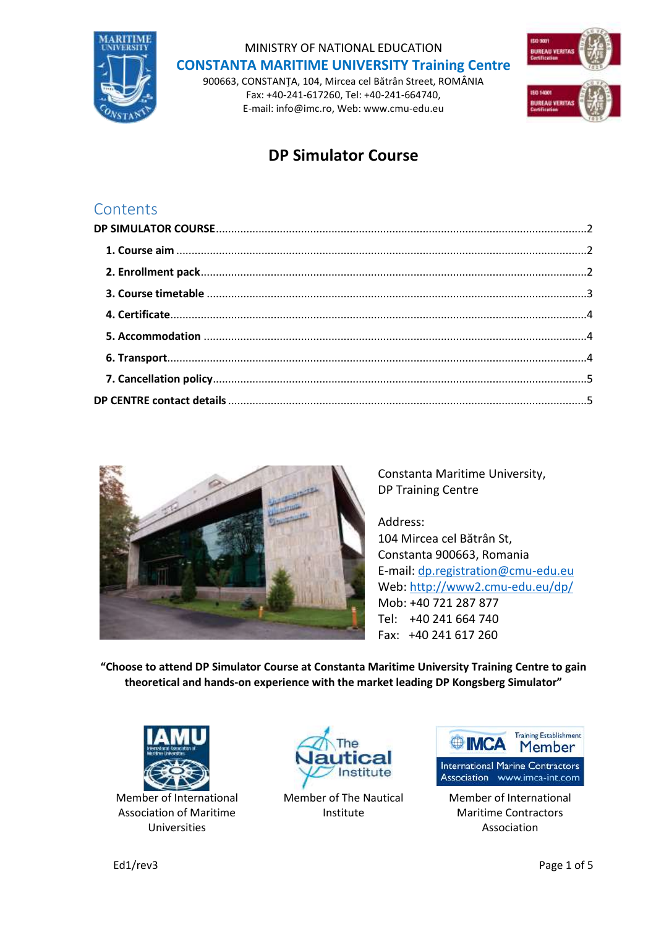

MINISTRY OF NATIONAL EDUCATION **CONSTANTA MARITIME UNIVERSITY Training Centre**

900663, CONSTANŢA, 104, Mircea cel Bătrân Street, ROMÂNIA Fax: +40-241-617260, Tel: +40-241-664740, E-mail: info@imc.ro, Web: www.cmu-edu.eu



# **DP Simulator Course**

## **Contents**



Constanta Maritime University, DP Training Centre

Address: 104 Mircea cel Bătrân St, Constanta 900663, Romania E-mail: [dp.registration@cmu-edu.eu](mailto:dp.registration@cmu-edu.eu) Web:<http://www2.cmu-edu.eu/dp/> Mob: +40 721 287 877 Tel: +40 241 664 740 Fax: +40 241 617 260

**"Choose to attend DP Simulator Course at Constanta Maritime University Training Centre to gain theoretical and hands-on experience with the market leading DP Kongsberg Simulator"**



Member of International Association of Maritime Universities



Member of The Nautical Institute



Member of International Maritime Contractors Association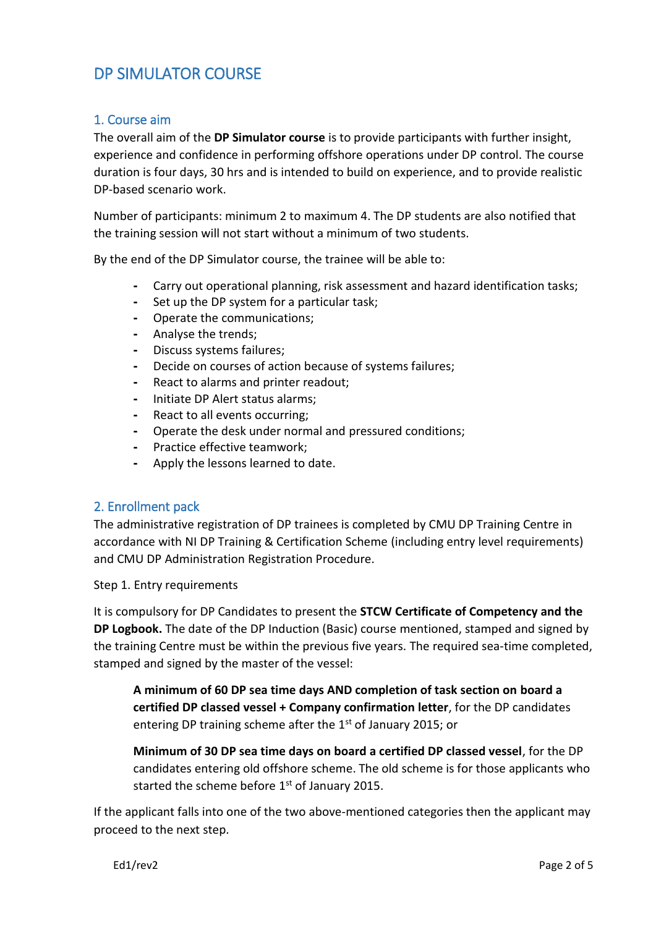# <span id="page-1-0"></span>DP SIMULATOR COURSE

#### <span id="page-1-1"></span>1. Course aim

The overall aim of the **DP Simulator course** is to provide participants with further insight, experience and confidence in performing offshore operations under DP control. The course duration is four days, 30 hrs and is intended to build on experience, and to provide realistic DP-based scenario work.

Number of participants: minimum 2 to maximum 4. The DP students are also notified that the training session will not start without a minimum of two students.

By the end of the DP Simulator course, the trainee will be able to:

- **-** Carry out operational planning, risk assessment and hazard identification tasks;
- **-** Set up the DP system for a particular task;
- **-** Operate the communications;
- **-** Analyse the trends;
- **-** Discuss systems failures;
- **-** Decide on courses of action because of systems failures;
- **-** React to alarms and printer readout;
- **-** Initiate DP Alert status alarms;
- **-** React to all events occurring;
- **-** Operate the desk under normal and pressured conditions;
- **-** Practice effective teamwork;
- **-** Apply the lessons learned to date.

#### <span id="page-1-2"></span>2. Enrollment pack

The administrative registration of DP trainees is completed by CMU DP Training Centre in accordance with NI DP Training & Certification Scheme (including entry level requirements) and CMU DP Administration Registration Procedure.

Step 1. Entry requirements

It is compulsory for DP Candidates to present the **STCW Certificate of Competency and the DP Logbook.** The date of the DP Induction (Basic) course mentioned, stamped and signed by the training Centre must be within the previous five years. The required sea-time completed, stamped and signed by the master of the vessel:

**A minimum of 60 DP sea time days AND completion of task section on board a certified DP classed vessel + Company confirmation letter**, for the DP candidates entering DP training scheme after the 1<sup>st</sup> of January 2015; or

**Minimum of 30 DP sea time days on board a certified DP classed vessel**, for the DP candidates entering old offshore scheme. The old scheme is for those applicants who started the scheme before  $1<sup>st</sup>$  of January 2015.

If the applicant falls into one of the two above-mentioned categories then the applicant may proceed to the next step.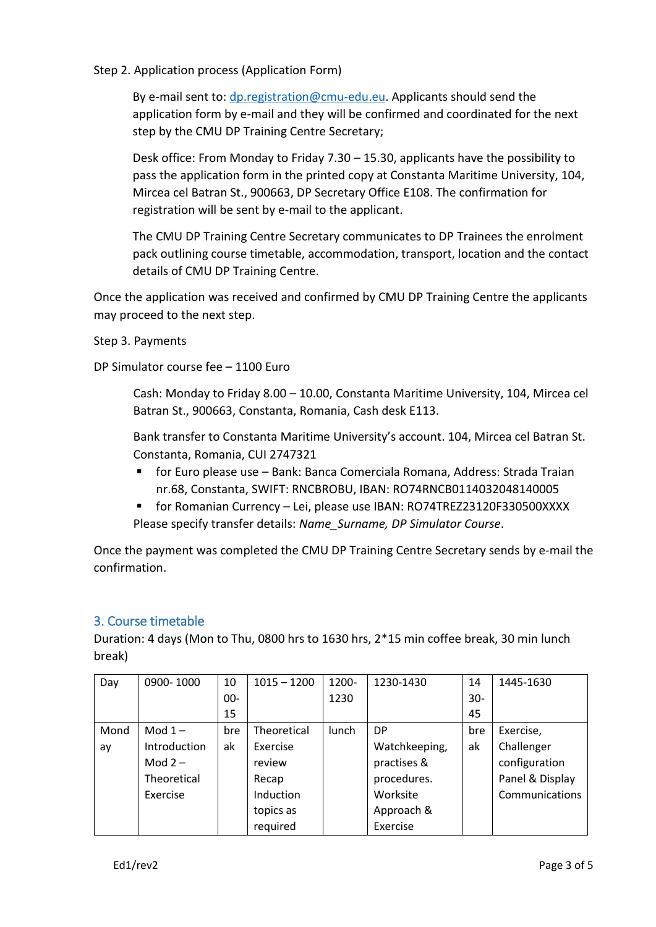#### Step 2. Application process (Application Form)

By e-mail sent to: [dp.registration@cmu-edu.eu.](mailto:dp.registration@cmu-edu.eu) Applicants should send the application form by e-mail and they will be confirmed and coordinated for the next step by the CMU DP Training Centre Secretary;

Desk office: From Monday to Friday 7.30 – 15.30, applicants have the possibility to pass the application form in the printed copy at Constanta Maritime University, 104, Mircea cel Batran St., 900663, DP Secretary Office E108. The confirmation for registration will be sent by e-mail to the applicant.

The CMU DP Training Centre Secretary communicates to DP Trainees the enrolment pack outlining course timetable, accommodation, transport, location and the contact details of CMU DP Training Centre.

Once the application was received and confirmed by CMU DP Training Centre the applicants may proceed to the next step.

#### Step 3. Payments

DP Simulator course fee – 1100 Euro

Cash: Monday to Friday 8.00 – 10.00, Constanta Maritime University, 104, Mircea cel Batran St., 900663, Constanta, Romania, Cash desk E113.

Bank transfer to Constanta Maritime University's account. 104, Mircea cel Batran St. Constanta, Romania, CUI 2747321

- for Euro please use Bank: Banca Comerciala Romana, Address: Strada Traian nr.68, Constanta, SWIFT: RNCBROBU, IBAN: RO74RNCB0114032048140005
- for Romanian Currency Lei, please use IBAN: RO74TREZ23120F330500XXXX Please specify transfer details: *Name\_Surname, DP Simulator Course*.

Once the payment was completed the CMU DP Training Centre Secretary sends by e-mail the confirmation.

#### <span id="page-2-0"></span>3. Course timetable

Duration: 4 days (Mon to Thu, 0800 hrs to 1630 hrs, 2\*15 min coffee break, 30 min lunch break)

| Day  | 0900-1000    | 10     | $1015 - 1200$ | 1200- | 1230-1430     | 14  | 1445-1630       |
|------|--------------|--------|---------------|-------|---------------|-----|-----------------|
|      |              | $00 -$ |               | 1230  |               | 30- |                 |
|      |              | 15     |               |       |               | 45  |                 |
| Mond | Mod $1-$     | bre    | Theoretical   | lunch | DP            | bre | Exercise,       |
| ay   | Introduction | ak     | Exercise      |       | Watchkeeping, | ak  | Challenger      |
|      | Mod $2-$     |        | review        |       | practises &   |     | configuration   |
|      | Theoretical  |        | Recap         |       | procedures.   |     | Panel & Display |
|      | Exercise     |        | Induction     |       | Worksite      |     | Communications  |
|      |              |        | topics as     |       | Approach &    |     |                 |
|      |              |        | required      |       | Exercise      |     |                 |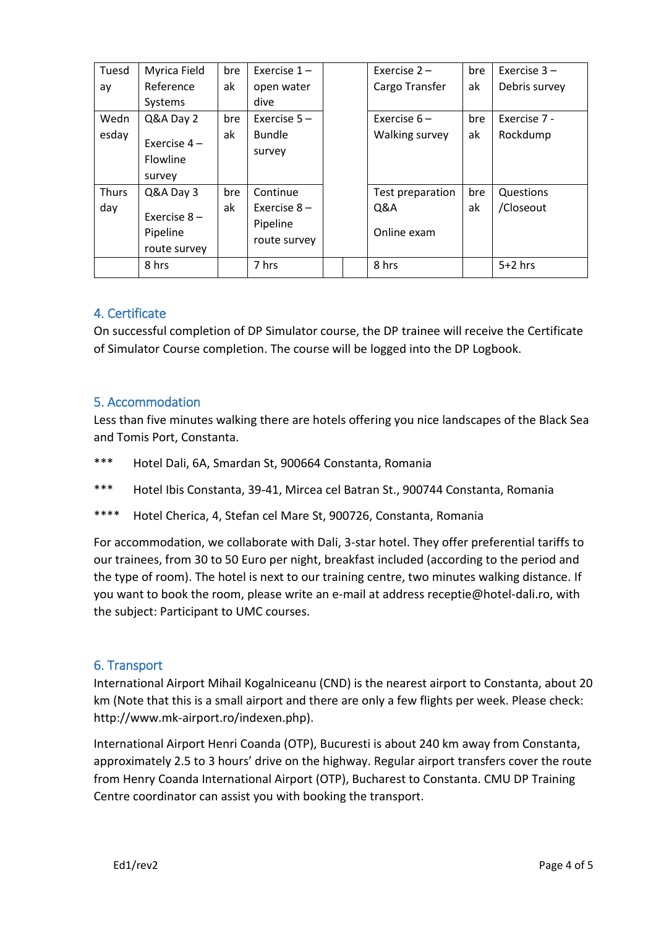| Tuesd | Myrica Field                               | bre | Exercise $1 -$           | Exercise $2 -$   | bre | Exercise $3 -$ |
|-------|--------------------------------------------|-----|--------------------------|------------------|-----|----------------|
| ay    | Reference                                  | ak  | open water               | Cargo Transfer   | ak  | Debris survey  |
|       | Systems                                    |     | dive                     |                  |     |                |
| Wedn  | Q&A Day 2                                  | bre | Exercise $5 -$           | Exercise $6-$    | bre | Exercise 7 -   |
| esday | Exercise $4-$<br>Flowline<br>survey        | ak  | <b>Bundle</b><br>survey  | Walking survey   | ak  | Rockdump       |
| Thurs | Q&A Day 3                                  | bre | Continue                 | Test preparation | bre | Questions      |
| day   |                                            | ak  | Exercise $8-$            | Q&A              | ak  | /Closeout      |
|       | Exercise $8 -$<br>Pipeline<br>route survey |     | Pipeline<br>route survey | Online exam      |     |                |
|       | 8 hrs                                      |     | 7 hrs                    | 8 hrs            |     | $5+2$ hrs      |

### <span id="page-3-0"></span>4. Certificate

On successful completion of DP Simulator course, the DP trainee will receive the Certificate of Simulator Course completion. The course will be logged into the DP Logbook.

#### <span id="page-3-1"></span>5. Accommodation

Less than five minutes walking there are hotels offering you nice landscapes of the Black Sea and Tomis Port, Constanta.

- \*\*\* Hotel Dali, 6A, Smardan St, 900664 Constanta, Romania
- \*\*\* Hotel Ibis Constanta, 39-41, Mircea cel Batran St., 900744 Constanta, Romania
- \*\*\*\* Hotel Cherica, 4, Stefan cel Mare St, 900726, Constanta, Romania

For accommodation, we collaborate with Dali, 3-star hotel. They offer preferential tariffs to our trainees, from 30 to 50 Euro per night, breakfast included (according to the period and the type of room). The hotel is next to our training centre, two minutes walking distance. If you want to book the room, please write an e-mail at address receptie@hotel-dali.ro, with the subject: Participant to UMC courses.

#### <span id="page-3-2"></span>6. Transport

International Airport Mihail Kogalniceanu (CND) is the nearest airport to Constanta, about 20 km (Note that this is a small airport and there are only a few flights per week. Please check: http://www.mk-airport.ro/indexen.php).

International Airport Henri Coanda (OTP), Bucuresti is about 240 km away from Constanta, approximately 2.5 to 3 hours' drive on the highway. Regular airport transfers cover the route from Henry Coanda International Airport (OTP), Bucharest to Constanta. CMU DP Training Centre coordinator can assist you with booking the transport.